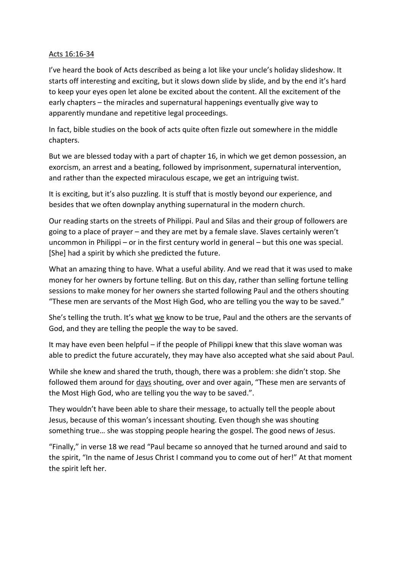## Acts 16:16-34

I've heard the book of Acts described as being a lot like your uncle's holiday slideshow. It starts off interesting and exciting, but it slows down slide by slide, and by the end it's hard to keep your eyes open let alone be excited about the content. All the excitement of the early chapters – the miracles and supernatural happenings eventually give way to apparently mundane and repetitive legal proceedings.

In fact, bible studies on the book of acts quite often fizzle out somewhere in the middle chapters.

But we are blessed today with a part of chapter 16, in which we get demon possession, an exorcism, an arrest and a beating, followed by imprisonment, supernatural intervention, and rather than the expected miraculous escape, we get an intriguing twist.

It is exciting, but it's also puzzling. It is stuff that is mostly beyond our experience, and besides that we often downplay anything supernatural in the modern church.

Our reading starts on the streets of Philippi. Paul and Silas and their group of followers are going to a place of prayer – and they are met by a female slave. Slaves certainly weren't uncommon in Philippi – or in the first century world in general – but this one was special. [She] had a spirit by which she predicted the future.

What an amazing thing to have. What a useful ability. And we read that it was used to make money for her owners by fortune telling. But on this day, rather than selling fortune telling sessions to make money for her owners she started following Paul and the others shouting "These men are servants of the Most High God, who are telling you the way to be saved."

She's telling the truth. It's what we know to be true, Paul and the others are the servants of God, and they are telling the people the way to be saved.

It may have even been helpful – if the people of Philippi knew that this slave woman was able to predict the future accurately, they may have also accepted what she said about Paul.

While she knew and shared the truth, though, there was a problem: she didn't stop. She followed them around for days shouting, over and over again, "These men are servants of the Most High God, who are telling you the way to be saved.".

They wouldn't have been able to share their message, to actually tell the people about Jesus, because of this woman's incessant shouting. Even though she was shouting something true… she was stopping people hearing the gospel. The good news of Jesus.

"Finally," in verse 18 we read "Paul became so annoyed that he turned around and said to the spirit, "In the name of Jesus Christ I command you to come out of her!" At that moment the spirit left her.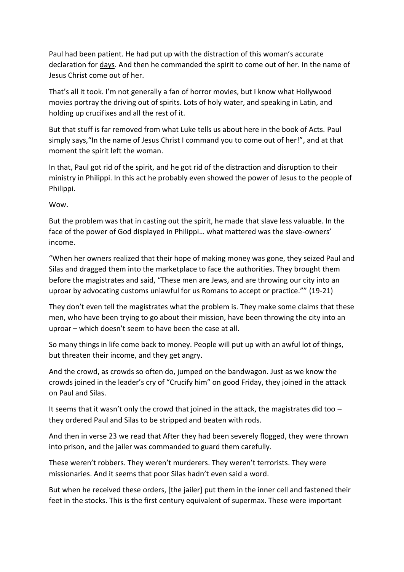Paul had been patient. He had put up with the distraction of this woman's accurate declaration for days. And then he commanded the spirit to come out of her. In the name of Jesus Christ come out of her.

That's all it took. I'm not generally a fan of horror movies, but I know what Hollywood movies portray the driving out of spirits. Lots of holy water, and speaking in Latin, and holding up crucifixes and all the rest of it.

But that stuff is far removed from what Luke tells us about here in the book of Acts. Paul simply says, "In the name of Jesus Christ I command you to come out of her!", and at that moment the spirit left the woman.

In that, Paul got rid of the spirit, and he got rid of the distraction and disruption to their ministry in Philippi. In this act he probably even showed the power of Jesus to the people of Philippi.

Wow.

But the problem was that in casting out the spirit, he made that slave less valuable. In the face of the power of God displayed in Philippi… what mattered was the slave-owners' income.

"When her owners realized that their hope of making money was gone, they seized Paul and Silas and dragged them into the marketplace to face the authorities. They brought them before the magistrates and said, "These men are Jews, and are throwing our city into an uproar by advocating customs unlawful for us Romans to accept or practice."" (19-21)

They don't even tell the magistrates what the problem is. They make some claims that these men, who have been trying to go about their mission, have been throwing the city into an uproar – which doesn't seem to have been the case at all.

So many things in life come back to money. People will put up with an awful lot of things, but threaten their income, and they get angry.

And the crowd, as crowds so often do, jumped on the bandwagon. Just as we know the crowds joined in the leader's cry of "Crucify him" on good Friday, they joined in the attack on Paul and Silas.

It seems that it wasn't only the crowd that joined in the attack, the magistrates did too  $$ they ordered Paul and Silas to be stripped and beaten with rods.

And then in verse 23 we read that After they had been severely flogged, they were thrown into prison, and the jailer was commanded to guard them carefully.

These weren't robbers. They weren't murderers. They weren't terrorists. They were missionaries. And it seems that poor Silas hadn't even said a word.

But when he received these orders, [the jailer] put them in the inner cell and fastened their feet in the stocks. This is the first century equivalent of supermax. These were important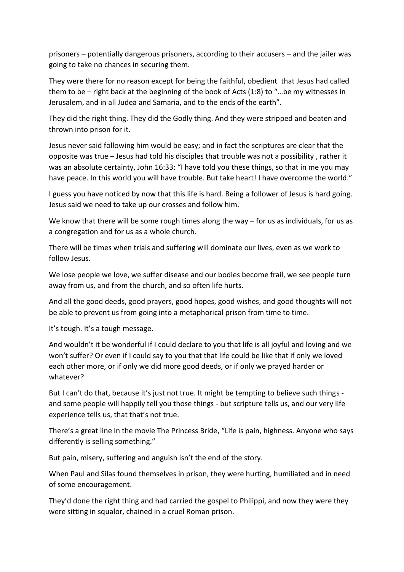prisoners – potentially dangerous prisoners, according to their accusers – and the jailer was going to take no chances in securing them.

They were there for no reason except for being the faithful, obedient that Jesus had called them to be – right back at the beginning of the book of Acts (1:8) to "…be my witnesses in Jerusalem, and in all Judea and Samaria, and to the ends of the earth".

They did the right thing. They did the Godly thing. And they were stripped and beaten and thrown into prison for it.

Jesus never said following him would be easy; and in fact the scriptures are clear that the opposite was true – Jesus had told his disciples that trouble was not a possibility , rather it was an absolute certainty, John 16:33: "I have told you these things, so that in me you may have peace. In this world you will have trouble. But take heart! I have overcome the world."

I guess you have noticed by now that this life is hard. Being a follower of Jesus is hard going. Jesus said we need to take up our crosses and follow him.

We know that there will be some rough times along the way – for us as individuals, for us as a congregation and for us as a whole church.

There will be times when trials and suffering will dominate our lives, even as we work to follow Jesus.

We lose people we love, we suffer disease and our bodies become frail, we see people turn away from us, and from the church, and so often life hurts.

And all the good deeds, good prayers, good hopes, good wishes, and good thoughts will not be able to prevent us from going into a metaphorical prison from time to time.

It's tough. It's a tough message.

And wouldn't it be wonderful if I could declare to you that life is all joyful and loving and we won't suffer? Or even if I could say to you that that life could be like that if only we loved each other more, or if only we did more good deeds, or if only we prayed harder or whatever?

But I can't do that, because it's just not true. It might be tempting to believe such things and some people will happily tell you those things - but scripture tells us, and our very life experience tells us, that that's not true.

There's a great line in the movie The Princess Bride, "Life is pain, highness. Anyone who says differently is selling something."

But pain, misery, suffering and anguish isn't the end of the story.

When Paul and Silas found themselves in prison, they were hurting, humiliated and in need of some encouragement.

They'd done the right thing and had carried the gospel to Philippi, and now they were they were sitting in squalor, chained in a cruel Roman prison.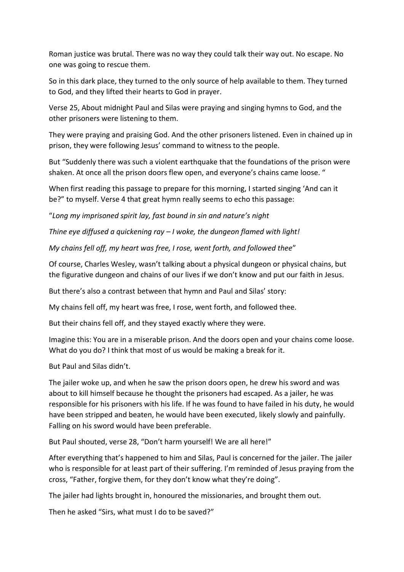Roman justice was brutal. There was no way they could talk their way out. No escape. No one was going to rescue them.

So in this dark place, they turned to the only source of help available to them. They turned to God, and they lifted their hearts to God in prayer.

Verse 25, About midnight Paul and Silas were praying and singing hymns to God, and the other prisoners were listening to them.

They were praying and praising God. And the other prisoners listened. Even in chained up in prison, they were following Jesus' command to witness to the people.

But "Suddenly there was such a violent earthquake that the foundations of the prison were shaken. At once all the prison doors flew open, and everyone's chains came loose. "

When first reading this passage to prepare for this morning, I started singing 'And can it be?" to myself. Verse 4 that great hymn really seems to echo this passage:

"*Long my imprisoned spirit lay, fast bound in sin and nature's night*

*Thine eye diffused a quickening ray – I woke, the dungeon flamed with light!*

*My chains fell off, my heart was free, I rose, went forth, and followed thee*"

Of course, Charles Wesley, wasn't talking about a physical dungeon or physical chains, but the figurative dungeon and chains of our lives if we don't know and put our faith in Jesus.

But there's also a contrast between that hymn and Paul and Silas' story:

My chains fell off, my heart was free, I rose, went forth, and followed thee.

But their chains fell off, and they stayed exactly where they were.

Imagine this: You are in a miserable prison. And the doors open and your chains come loose. What do you do? I think that most of us would be making a break for it.

But Paul and Silas didn't.

The jailer woke up, and when he saw the prison doors open, he drew his sword and was about to kill himself because he thought the prisoners had escaped. As a jailer, he was responsible for his prisoners with his life. If he was found to have failed in his duty, he would have been stripped and beaten, he would have been executed, likely slowly and painfully. Falling on his sword would have been preferable.

But Paul shouted, verse 28, "Don't harm yourself! We are all here!"

After everything that's happened to him and Silas, Paul is concerned for the jailer. The jailer who is responsible for at least part of their suffering. I'm reminded of Jesus praying from the cross, "Father, forgive them, for they don't know what they're doing".

The jailer had lights brought in, honoured the missionaries, and brought them out.

Then he asked "Sirs, what must I do to be saved?"